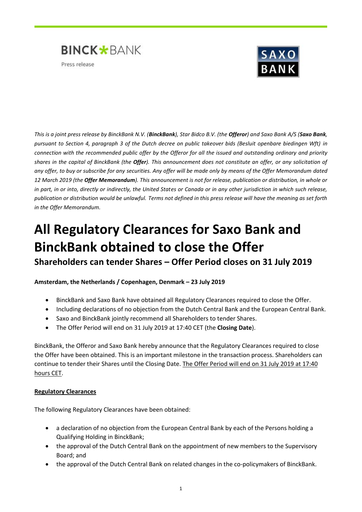



*This is a joint press release by BinckBank N.V. (BinckBank), Star Bidco B.V. (the Offeror) and Saxo Bank A/S (Saxo Bank, pursuant to Section 4, paragraph 3 of the Dutch decree on public takeover bids (Besluit openbare biedingen Wft) in connection with the recommended public offer by the Offeror for all the issued and outstanding ordinary and priority shares in the capital of BinckBank (the Offer). This announcement does not constitute an offer, or any solicitation of any offer, to buy or subscribe for any securities. Any offer will be made only by means of the Offer Memorandum dated 12 March 2019 (the Offer Memorandum). This announcement is not for release, publication or distribution, in whole or in part, in or into, directly or indirectly, the United States or Canada or in any other jurisdiction in which such release, publication or distribution would be unlawful. Terms not defined in this press release will have the meaning as set forth in the Offer Memorandum.*

# **All Regulatory Clearances for Saxo Bank and BinckBank obtained to close the Offer Shareholders can tender Shares – Offer Period closes on 31 July 2019**

**Amsterdam, the Netherlands / Copenhagen, Denmark – 23 July 2019**

- BinckBank and Saxo Bank have obtained all Regulatory Clearances required to close the Offer.
- Including declarations of no objection from the Dutch Central Bank and the European Central Bank.
- Saxo and BinckBank jointly recommend all Shareholders to tender Shares.
- The Offer Period will end on 31 July 2019 at 17:40 CET (the **Closing Date**).

BinckBank, the Offeror and Saxo Bank hereby announce that the Regulatory Clearances required to close the Offer have been obtained. This is an important milestone in the transaction process. Shareholders can continue to tender their Shares until the Closing Date. The Offer Period will end on 31 July 2019 at 17:40 hours CET.

# **Regulatory Clearances**

The following Regulatory Clearances have been obtained:

- a declaration of no objection from the European Central Bank by each of the Persons holding a Qualifying Holding in BinckBank;
- the approval of the Dutch Central Bank on the appointment of new members to the Supervisory Board; and
- the approval of the Dutch Central Bank on related changes in the co-policymakers of BinckBank.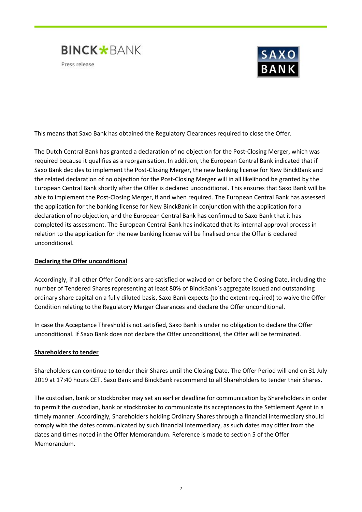



This means that Saxo Bank has obtained the Regulatory Clearances required to close the Offer.

The Dutch Central Bank has granted a declaration of no objection for the Post-Closing Merger, which was required because it qualifies as a reorganisation. In addition, the European Central Bank indicated that if Saxo Bank decides to implement the Post-Closing Merger, the new banking license for New BinckBank and the related declaration of no objection for the Post-Closing Merger will in all likelihood be granted by the European Central Bank shortly after the Offer is declared unconditional. This ensures that Saxo Bank will be able to implement the Post-Closing Merger, if and when required. The European Central Bank has assessed the application for the banking license for New BinckBank in conjunction with the application for a declaration of no objection, and the European Central Bank has confirmed to Saxo Bank that it has completed its assessment. The European Central Bank has indicated that its internal approval process in relation to the application for the new banking license will be finalised once the Offer is declared unconditional.

### **Declaring the Offer unconditional**

Accordingly, if all other Offer Conditions are satisfied or waived on or before the Closing Date, including the number of Tendered Shares representing at least 80% of BinckBank's aggregate issued and outstanding ordinary share capital on a fully diluted basis, Saxo Bank expects (to the extent required) to waive the Offer Condition relating to the Regulatory Merger Clearances and declare the Offer unconditional.

In case the Acceptance Threshold is not satisfied, Saxo Bank is under no obligation to declare the Offer unconditional. If Saxo Bank does not declare the Offer unconditional, the Offer will be terminated.

### **Shareholders to tender**

Shareholders can continue to tender their Shares until the Closing Date. The Offer Period will end on 31 July 2019 at 17:40 hours CET. Saxo Bank and BinckBank recommend to all Shareholders to tender their Shares.

The custodian, bank or stockbroker may set an earlier deadline for communication by Shareholders in order to permit the custodian, bank or stockbroker to communicate its acceptances to the Settlement Agent in a timely manner. Accordingly, Shareholders holding Ordinary Shares through a financial intermediary should comply with the dates communicated by such financial intermediary, as such dates may differ from the dates and times noted in the Offer Memorandum. Reference is made to section 5 of the Offer Memorandum.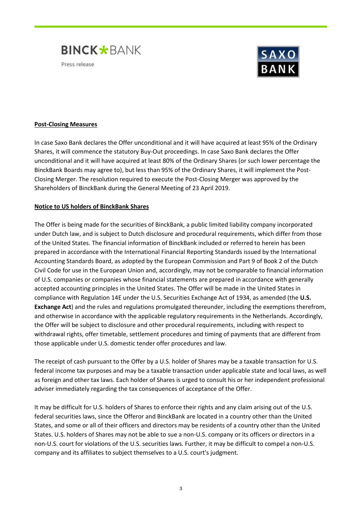



## **Post-Closing Measures**

In case Saxo Bank declares the Offer unconditional and it will have acquired at least 95% of the Ordinary Shares, it will commence the statutory Buy-Out proceedings. In case Saxo Bank declares the Offer unconditional and it will have acquired at least 80% of the Ordinary Shares (or such lower percentage the BinckBank Boards may agree to), but less than 95% of the Ordinary Shares, it will implement the Post-Closing Merger. The resolution required to execute the Post-Closing Merger was approved by the Shareholders of BinckBank during the General Meeting of 23 April 2019.

### **Notice to US holders of BinckBank Shares**

The Offer is being made for the securities of BinckBank, a public limited liability company incorporated under Dutch law, and is subject to Dutch disclosure and procedural requirements, which differ from those of the United States. The financial information of BinckBank included or referred to herein has been prepared in accordance with the International Financial Reporting Standards issued by the International Accounting Standards Board, as adopted by the European Commission and Part 9 of Book 2 of the Dutch Civil Code for use in the European Union and, accordingly, may not be comparable to financial information of U.S. companies or companies whose financial statements are prepared in accordance with generally accepted accounting principles in the United States. The Offer will be made in the United States in compliance with Regulation 14E under the U.S. Securities Exchange Act of 1934, as amended (the **U.S. Exchange Act**) and the rules and regulations promulgated thereunder, including the exemptions therefrom, and otherwise in accordance with the applicable regulatory requirements in the Netherlands. Accordingly, the Offer will be subject to disclosure and other procedural requirements, including with respect to withdrawal rights, offer timetable, settlement procedures and timing of payments that are different from those applicable under U.S. domestic tender offer procedures and law.

The receipt of cash pursuant to the Offer by a U.S. holder of Shares may be a taxable transaction for U.S. federal income tax purposes and may be a taxable transaction under applicable state and local laws, as well as foreign and other tax laws. Each holder of Shares is urged to consult his or her independent professional adviser immediately regarding the tax consequences of acceptance of the Offer.

It may be difficult for U.S. holders of Shares to enforce their rights and any claim arising out of the U.S. federal securities laws, since the Offeror and BinckBank are located in a country other than the United States, and some or all of their officers and directors may be residents of a country other than the United States. U.S. holders of Shares may not be able to sue a non-U.S. company or its officers or directors in a non-U.S. court for violations of the U.S. securities laws. Further, it may be difficult to compel a non-U.S. company and its affiliates to subject themselves to a U.S. court's judgment.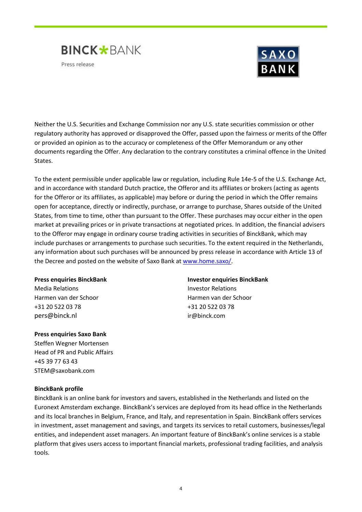



Neither the U.S. Securities and Exchange Commission nor any U.S. state securities commission or other regulatory authority has approved or disapproved the Offer, passed upon the fairness or merits of the Offer or provided an opinion as to the accuracy or completeness of the Offer Memorandum or any other documents regarding the Offer. Any declaration to the contrary constitutes a criminal offence in the United States.

To the extent permissible under applicable law or regulation, including Rule 14e-5 of the U.S. Exchange Act, and in accordance with standard Dutch practice, the Offeror and its affiliates or brokers (acting as agents for the Offeror or its affiliates, as applicable) may before or during the period in which the Offer remains open for acceptance, directly or indirectly, purchase, or arrange to purchase, Shares outside of the United States, from time to time, other than pursuant to the Offer. These purchases may occur either in the open market at prevailing prices or in private transactions at negotiated prices. In addition, the financial advisers to the Offeror may engage in ordinary course trading activities in securities of BinckBank, which may include purchases or arrangements to purchase such securities. To the extent required in the Netherlands, any information about such purchases will be announced by press release in accordance with Article 13 of the Decree and posted on the website of Saxo Bank at [www.home.saxo/.](http://www.home.saxo/)

Media Relations Investor Relations +31 20 522 03 78 +31 20 522 03 78 pers@binck.nl ir@binck.com

### **Press enquiries Saxo Bank**

Steffen Wegner Mortensen Head of PR and Public Affairs +45 39 77 63 43 STEM@saxobank.com

### **BinckBank profile**

BinckBank is an online bank for investors and savers, established in the Netherlands and listed on the Euronext Amsterdam exchange. BinckBank's services are deployed from its head office in the Netherlands and its local branches in Belgium, France, and Italy, and representation in Spain. BinckBank offers services in investment, asset management and savings, and targets its services to retail customers, businesses/legal entities, and independent asset managers. An important feature of BinckBank's online services is a stable platform that gives users access to important financial markets, professional trading facilities, and analysis tools.

**Press enquiries BinckBank Investor enquiries BinckBank** Harmen van der Schoor Harmen van der Schoor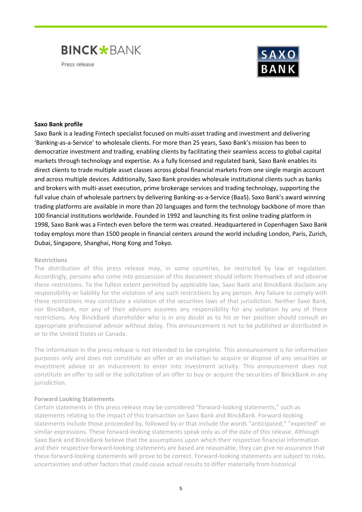



### **Saxo Bank profile**

Saxo Bank is a leading Fintech specialist focused on multi-asset trading and investment and delivering 'Banking-as-a-Service' to wholesale clients. For more than 25 years, Saxo Bank's mission has been to democratize investment and trading, enabling clients by facilitating their seamless access to global capital markets through technology and expertise. As a fully licensed and regulated bank, Saxo Bank enables its direct clients to trade multiple asset classes across global financial markets from one single margin account and across multiple devices. Additionally, Saxo Bank provides wholesale institutional clients such as banks and brokers with multi-asset execution, prime brokerage services and trading technology, supporting the full value chain of wholesale partners by delivering Banking-as-a-Service (BaaS). Saxo Bank's award winning [trading platforms](https://www.home.saxo/platforms?cmpid=press-release) are available in more than 20 languages and form the technology backbone of more than 100 financial institutions worldwide. [Founded in 1992](https://www.home.saxo/about-us?cmpid=press-release) and launching its first online trading platform in 1998, Saxo Bank was a Fintech even before the term was created. Headquartered in Copenhagen Saxo Bank today employs more than 1500 people in financial centers around the world including London, Paris, Zurich, Dubai, Singapore, Shanghai, Hong Kong and Tokyo.

### **Restrictions**

The distribution of this press release may, in some countries, be restricted by law or regulation. Accordingly, persons who come into possession of this document should inform themselves of and observe these restrictions. To the fullest extent permitted by applicable law, Saxo Bank and BinckBank disclaim any responsibility or liability for the violation of any such restrictions by any person. Any failure to comply with these restrictions may constitute a violation of the securities laws of that jurisdiction. Neither Saxo Bank, nor BinckBank, nor any of their advisors assumes any responsibility for any violation by any of these restrictions. Any BinckBank shareholder who is in any doubt as to his or her position should consult an appropriate professional advisor without delay. This announcement is not to be published or distributed in or to the United States or Canada.

The information in the press release is not intended to be complete. This announcement is for information purposes only and does not constitute an offer or an invitation to acquire or dispose of any securities or investment advice or an inducement to enter into investment activity. This announcement does not constitute an offer to sell or the solicitation of an offer to buy or acquire the securities of BinckBank in any jurisdiction.

### **Forward Looking Statements**

Certain statements in this press release may be considered "forward-looking statements," such as statements relating to the impact of this transaction on Saxo Bank and BinckBank. Forward-looking statements include those proceeded by, followed by or that include the words "anticipated," "expected" or similar expressions. These forward-looking statements speak only as of the date of this release. Although Saxo Bank and BinckBank believe that the assumptions upon which their respective financial information and their respective forward-looking statements are based are reasonable, they can give no assurance that these forward-looking statements will prove to be correct. Forward-looking statements are subject to risks, uncertainties and other factors that could cause actual results to differ materially from historical